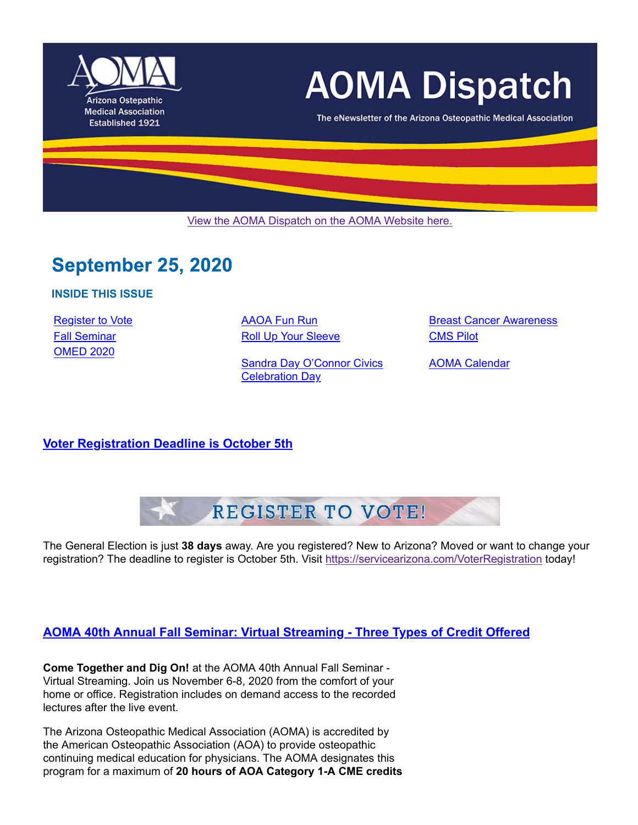

# **AOMA Dispatch**

The eNewsletter of the Arizona Osteopathic Medical Association

View the AOMA Dispatch on the AOMA Website here.

# **September 25, 2020**

**INSIDE THIS ISSUE**

OMED 2020

Fall Seminar **Roll Up Your Sleeve** CMS Pilot

Sandra Day O'Connor Civics Celebration Day

Register to Vote **AAOA Fun Run** Breast Cancer Awareness

AOMA Calendar

**Voter Registration Deadline is October 5th**



The General Election is just **38 days** away. Are you registered? New to Arizona? Moved or want to change your registration? The deadline to register is October 5th. Visit https://servicearizona.com/VoterRegistration today!

# **AOMA 40th Annual Fall Seminar: Virtual Streaming - Three Types of Credit Offered**

**Come Together and Dig On!** at the AOMA 40th Annual Fall Seminar - Virtual Streaming. Join us November 6-8, 2020 from the comfort of your home or office. Registration includes on demand access to the recorded lectures after the live event.

The Arizona Osteopathic Medical Association (AOMA) is accredited by the American Osteopathic Association (AOA) to provide osteopathic continuing medical education for physicians. The AOMA designates this program for a maximum of **20 hours of AOA Category 1-A CME credits**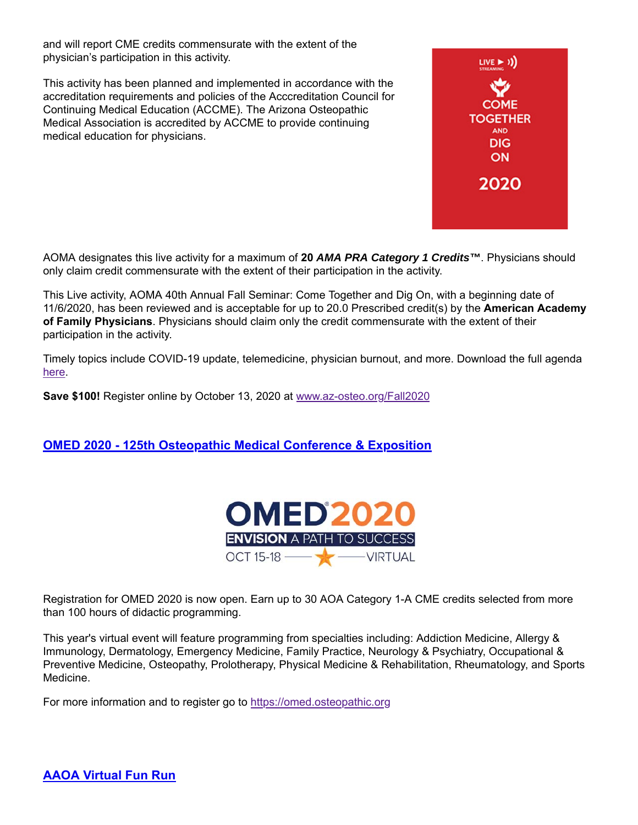and will report CME credits commensurate with the extent of the physician's participation in this activity.

This activity has been planned and implemented in accordance with the accreditation requirements and policies of the Acccreditation Council for Continuing Medical Education (ACCME). The Arizona Osteopathic Medical Association is accredited by ACCME to provide continuing medical education for physicians.



AOMA designates this live activity for a maximum of **20** *AMA PRA Category 1 Credits™*. Physicians should only claim credit commensurate with the extent of their participation in the activity.

This Live activity, AOMA 40th Annual Fall Seminar: Come Together and Dig On, with a beginning date of 11/6/2020, has been reviewed and is acceptable for up to 20.0 Prescribed credit(s) by the **American Academy of Family Physicians**. Physicians should claim only the credit commensurate with the extent of their participation in the activity.

Timely topics include COVID-19 update, telemedicine, physician burnout, and more. Download the full agenda here.

**Save \$100!** Register online by October 13, 2020 at www.az-osteo.org/Fall2020

# **OMED 2020 - 125th Osteopathic Medical Conference & Exposition**



Registration for OMED 2020 is now open. Earn up to 30 AOA Category 1-A CME credits selected from more than 100 hours of didactic programming.

This year's virtual event will feature programming from specialties including: Addiction Medicine, Allergy & Immunology, Dermatology, Emergency Medicine, Family Practice, Neurology & Psychiatry, Occupational & Preventive Medicine, Osteopathy, Prolotherapy, Physical Medicine & Rehabilitation, Rheumatology, and Sports Medicine.

For more information and to register go to https://omed.osteopathic.org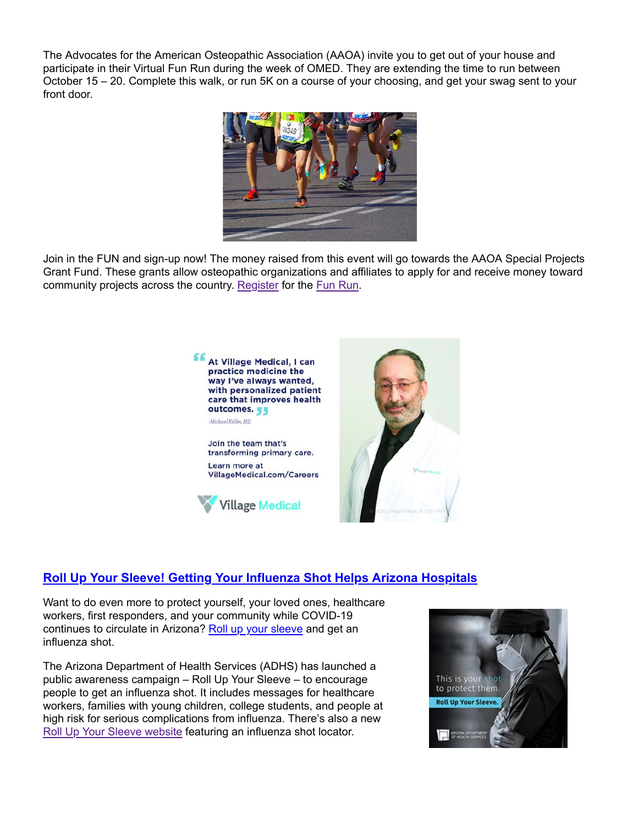The Advocates for the American Osteopathic Association (AAOA) invite you to get out of your house and participate in their Virtual Fun Run during the week of OMED. They are extending the time to run between October 15 – 20. Complete this walk, or run 5K on a course of your choosing, and get your swag sent to your front door.



Join in the FUN and sign-up now! The money raised from this event will go towards the AAOA Special Projects Grant Fund. These grants allow osteopathic organizations and affiliates to apply for and receive money toward community projects across the country. Register for the Fun Run.



# **Roll Up Your Sleeve! Getting Your Influenza Shot Helps Arizona Hospitals**

Want to do even more to protect yourself, your loved ones, healthcare workers, first responders, and your community while COVID-19 continues to circulate in Arizona? Roll up your sleeve and get an influenza shot.

The Arizona Department of Health Services (ADHS) has launched a public awareness campaign – Roll Up Your Sleeve – to encourage people to get an influenza shot. It includes messages for healthcare workers, families with young children, college students, and people at high risk for serious complications from influenza. There's also a new Roll Up Your Sleeve website featuring an influenza shot locator.

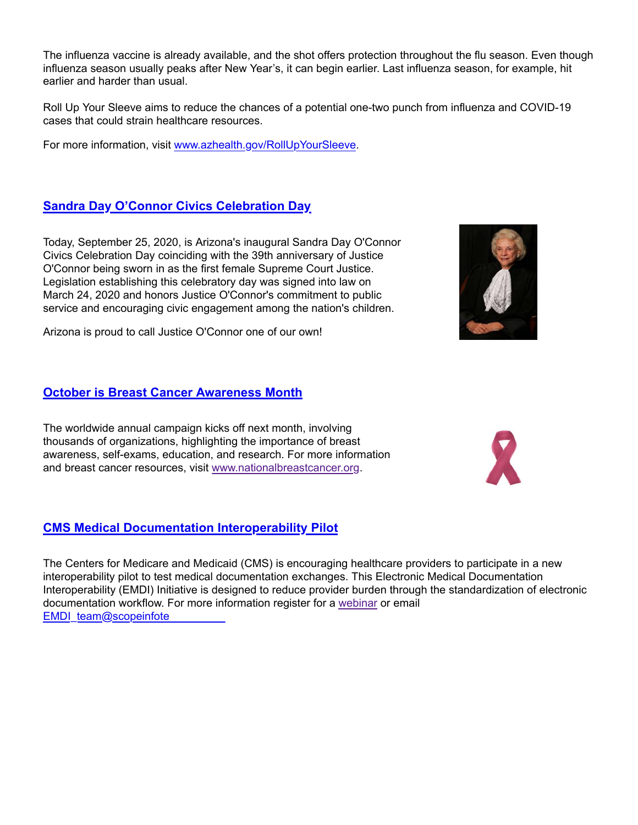The influenza vaccine is already available, and the shot offers protection throughout the flu season. Even though influenza season usually peaks after New Year's, it can begin earlier. Last influenza season, for example, hit earlier and harder than usual.

Roll Up Your Sleeve aims to reduce the chances of a potential one-two punch from influenza and COVID-19 cases that could strain healthcare resources.

For more information, visit www.azhealth.gov/RollUpYourSleeve.

# **Sandra Day O'Connor Civics Celebration Day**

Today, September 25, 2020, is Arizona's inaugural Sandra Day O'Connor Civics Celebration Day coinciding with the 39th anniversary of Justice O'Connor being sworn in as the first female Supreme Court Justice. Legislation establishing this celebratory day was signed into law on March 24, 2020 and honors Justice O'Connor's commitment to public service and encouraging civic engagement among the nation's children.

Arizona is proud to call Justice O'Connor one of our own!

# **October is Breast Cancer Awareness Month**

The worldwide annual campaign kicks off next month, involving thousands of organizations, highlighting the importance of breast awareness, self-exams, education, and research. For more information and breast cancer resources, visit www.nationalbreastcancer.org.

# **CMS Medical Documentation Interoperability Pilot**

The Centers for Medicare and Medicaid (CMS) is encouraging healthcare providers to participate in a new interoperability pilot to test medical documentation exchanges. This Electronic Medical Documentation Interoperability (EMDI) Initiative is designed to reduce provider burden through the standardization of electronic documentation workflow. For more information register for a webinar or email EMDI\_team@scopeinfote



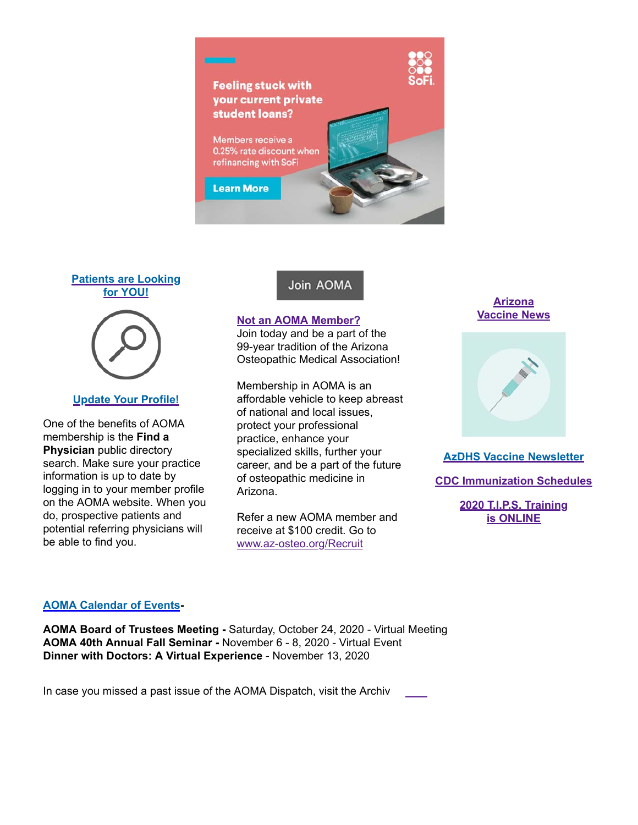

#### **Patients are Looking for YOU!**



#### **Update Your Profile!**

One of the benefits of AOMA membership is the **Find a Physician** public directory search. Make sure your practice information is up to date by logging in to your member profile on the AOMA website. When you do, prospective patients and potential referring physicians will be able to find you.

# Join AOMA

#### **Not an AOMA Member?**

Join today and be a part of the 99-year tradition of the Arizona Osteopathic Medical Association!

Membership in AOMA is an affordable vehicle to keep abreast of national and local issues, protect your professional practice, enhance your specialized skills, further your career, and be a part of the future of osteopathic medicine in Arizona.

Refer a new AOMA member and receive at \$100 credit. Go to www.az-osteo.org/Recruit

**Arizona Vaccine News**



**AzDHS Vaccine Newsletter**

**CDC Immunization Schedules**

**2020 T.I.P.S. Training is ONLINE**

#### **AOMA Calendar of Events-**

**AOMA Board of Trustees Meeting -** Saturday, October 24, 2020 - Virtual Meeting **AOMA 40th Annual Fall Seminar -** November 6 - 8, 2020 - Virtual Event **Dinner with Doctors: A Virtual Experience** - November 13, 2020

In case you missed a past issue of the AOMA Dispatch, visit the Archiv